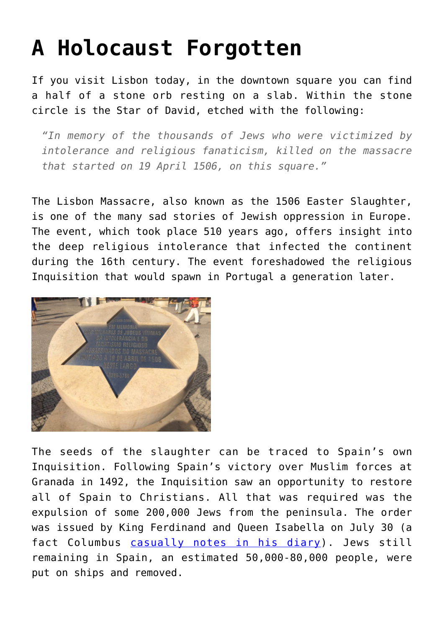## **[A Holocaust Forgotten](https://intellectualtakeout.org/2016/04/a-holocaust-forgotten/)**

If you visit Lisbon today, in the downtown square you can find a half of a stone orb resting on a slab. Within the stone circle is the Star of David, etched with the following:

*"In memory of the thousands of Jews who were victimized by intolerance and religious fanaticism, killed on the massacre that started on 19 April 1506, on this square."*

The Lisbon Massacre, also known as the 1506 Easter Slaughter, is one of the many sad stories of Jewish oppression in Europe. The event, which took place 510 years ago, offers insight into the deep religious intolerance that infected the continent during the 16th century. The event foreshadowed the religious Inquisition that would spawn in Portugal a generation later.



The seeds of the slaughter can be traced to Spain's own Inquisition. Following Spain's victory over Muslim forces at Granada in 1492, the Inquisition saw an opportunity to restore all of Spain to Christians. All that was required was the expulsion of some 200,000 Jews from the peninsula. The order was issued by King Ferdinand and Queen Isabella on July 30 (a fact Columbus [casually notes in his diary](https://books.google.com/books?id=cRZBAQAAQBAJ&pg=PT111&lpg=PT111&dq=In+the+same+month+in+which+their+Majesties+%5BFerdinand+and+Isabella%5D+issued+the+edict+that+all+Jews+should+be+driven+out+of+the+kingdom+and+its+territories,+in+the+same+month+they+gave+me+the+order+to+undertake&source=bl&ots=JDUyIKOtNS&sig=cZe_qwz1jmvklDLI_t6HxPcU780&hl=en&sa=X&ved=0ahUKEwiVyor8s5vMAhVHlB4KHVcNCXcQ6AEIQTAG#v=onepage&q=In%20the%20same%20month%20in%20which%20their%20Majesties%20%5BFerdinand%20and%20Isabella%5D%20issued%20the%20edict%20that%20all%20Jews%20should%20be%20driven%20out%20of%20the%20kingdom%20and%20its%20territories%2C%20in%20the%20same%20month%20t)). Jews still remaining in Spain, an estimated 50,000-80,000 people, were put on ships and removed.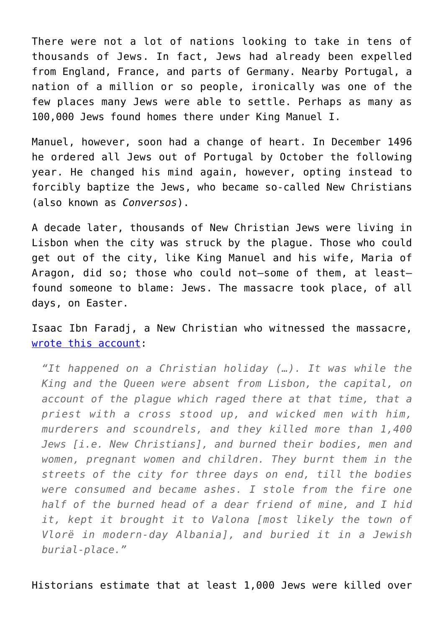There were not a lot of nations looking to take in tens of thousands of Jews. In fact, Jews had already been expelled from England, France, and parts of Germany. Nearby Portugal, a nation of a million or so people, ironically was one of the few places many Jews were able to settle. Perhaps as many as 100,000 Jews found homes there under King Manuel I.

Manuel, however, soon had a change of heart. In December 1496 he ordered all Jews out of Portugal by October the following year. He changed his mind again, however, opting instead to forcibly baptize the Jews, who became so-called New Christians (also known as *Conversos*).

A decade later, thousands of New Christian Jews were living in Lisbon when the city was struck by the plague. Those who could get out of the city, like King Manuel and his wife, Maria of Aragon, did so; those who could not—some of them, at least found someone to blame: Jews. The massacre took place, of all days, on Easter.

Isaac Ibn Faradj, a New Christian who witnessed the massacre, [wrote this account:](#page--1-0)

*"It happened on a Christian holiday (…). It was while the King and the Queen were absent from Lisbon, the capital, on account of the plague which raged there at that time, that a priest with a cross stood up, and wicked men with him, murderers and scoundrels, and they killed more than 1,400 Jews [i.e. New Christians], and burned their bodies, men and women, pregnant women and children. They burnt them in the streets of the city for three days on end, till the bodies were consumed and became ashes. I stole from the fire one half of the burned head of a dear friend of mine, and I hid it, kept it brought it to Valona [most likely the town of Vlorë in modern-day Albania], and buried it in a Jewish burial-place."*

Historians estimate that at least 1,000 Jews were killed over